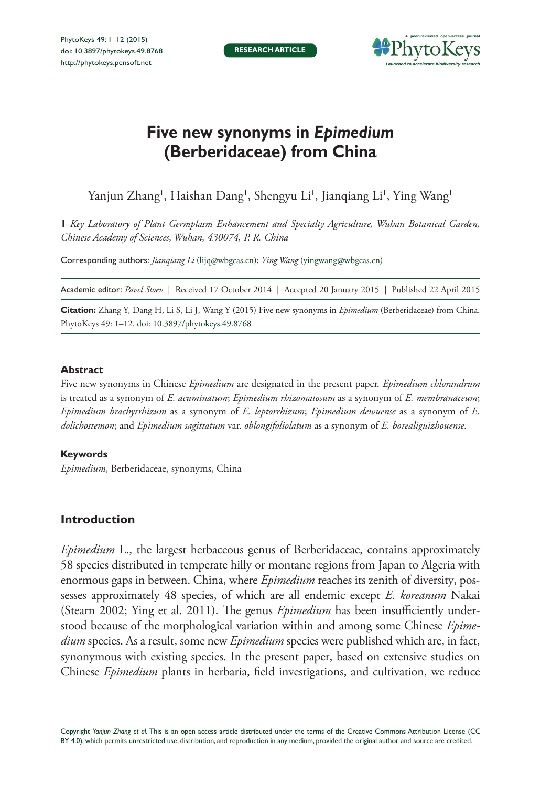

# **Five new synonyms in** *Epimedium* **(Berberidaceae) from China**

Yanjun Zhang', Haishan Dang', Shengyu Li', Jianqiang Li', Ying Wang'

**1** *Key Laboratory of Plant Germplasm Enhancement and Specialty Agriculture, Wuhan Botanical Garden, Chinese Academy of Sciences, Wuhan, 430074, P. R. China*

Corresponding authors: *Jianqiang Li* ([lijq@wbgcas.cn\)](mailto:lijq@wbgcas.cn); *Ying Wang* [\(yingwang@wbgcas.cn\)](mailto:yingwang@wbgcas.cn)

Academic editor: *Pavel Stoev* | Received 17 October 2014 | Accepted 20 January 2015 | Published 22 April 2015

**Citation:** Zhang Y, Dang H, Li S, Li J, Wang Y (2015) Five new synonyms in *Epimedium* (Berberidaceae) from China. PhytoKeys 49: 1–12. [doi: 10.3897/phytokeys.49.8768](http://dx.doi.org/10.3897/phytokeys.49.8768)

# **Abstract**

Five new synonyms in Chinese *Epimedium* are designated in the present paper. *Epimedium chlorandrum* is treated as a synonym of *E. acuminatum*; *Epimedium rhizomatosum* as a synonym of *E. membranaceum*; *Epimedium brachyrrhizum* as a synonym of *E. leptorrhizum*; *Epimedium dewuense* as a synonym of *E. dolichostemon*; and *Epimedium sagittatum* var. *oblongifoliolatum* as a synonym of *E. borealiguizhouense*.

# **Keywords**

*Epimedium*, Berberidaceae, synonyms, China

# **Introduction**

*Epimedium* L., the largest herbaceous genus of Berberidaceae, contains approximately 58 species distributed in temperate hilly or montane regions from Japan to Algeria with enormous gaps in between. China, where *Epimedium* reaches its zenith of diversity, possesses approximately 48 species, of which are all endemic except *E. koreanum* Nakai (Stearn 2002; Ying et al. 2011). The genus *Epimedium* has been insufficiently understood because of the morphological variation within and among some Chinese *Epimedium* species. As a result, some new *Epimedium* species were published which are, in fact, synonymous with existing species. In the present paper, based on extensive studies on Chinese *Epimedium* plants in herbaria, field investigations, and cultivation, we reduce

Copyright *Yanjun Zhang et al.* This is an open access article distributed under the terms of the [Creative Commons Attribution License \(CC](http://creativecommons.org/licenses/by/4.0/)  [BY 4.0\)](http://creativecommons.org/licenses/by/4.0/), which permits unrestricted use, distribution, and reproduction in any medium, provided the original author and source are credited.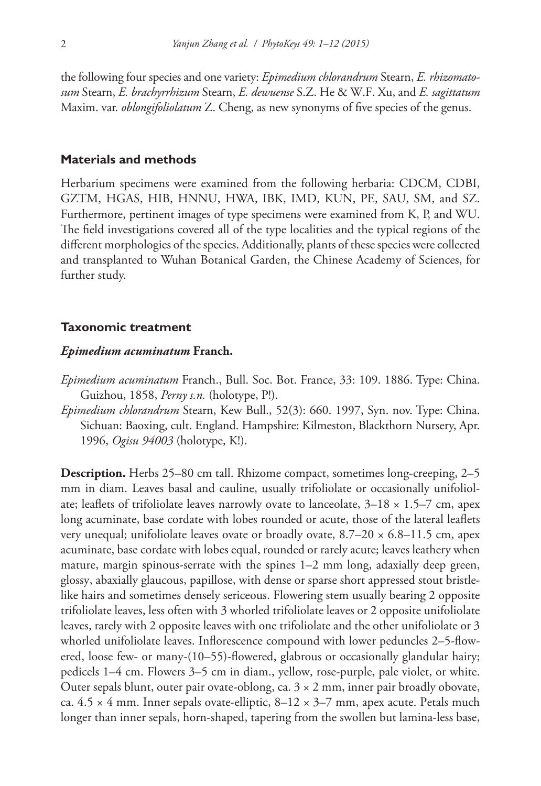the following four species and one variety: *Epimedium chlorandrum* Stearn, *E. rhizomatosum* Stearn, *E. brachyrrhizum* Stearn, *E. dewuense* S.Z. He & W.F. Xu, and *E. sagittatum*  Maxim. var. *oblongifoliolatum* Z. Cheng, as new synonyms of five species of the genus.

# **Materials and methods**

Herbarium specimens were examined from the following herbaria: CDCM, CDBI, GZTM, HGAS, HIB, HNNU, HWA, IBK, IMD, KUN, PE, SAU, SM, and SZ. Furthermore, pertinent images of type specimens were examined from K, P, and WU. The field investigations covered all of the type localities and the typical regions of the different morphologies of the species. Additionally, plants of these species were collected and transplanted to Wuhan Botanical Garden, the Chinese Academy of Sciences, for further study.

# **Taxonomic treatment**

#### *Epimedium acuminatum* **Franch.**

- *Epimedium acuminatum* Franch., Bull. Soc. Bot. France, 33: 109. 1886. Type: China. Guizhou, 1858, *Perny s.n.* (holotype, P!).
- *Epimedium chlorandrum* Stearn, Kew Bull., 52(3): 660. 1997, Syn. nov. Type: China. Sichuan: Baoxing, cult. England. Hampshire: Kilmeston, Blackthorn Nursery, Apr. 1996, *Ogisu 94003* (holotype, K!).

**Description.** Herbs 25–80 cm tall. Rhizome compact, sometimes long-creeping, 2–5 mm in diam. Leaves basal and cauline, usually trifoliolate or occasionally unifoliolate; leaflets of trifoliolate leaves narrowly ovate to lanceolate,  $3-18 \times 1.5-7$  cm, apex long acuminate, base cordate with lobes rounded or acute, those of the lateral leaflets very unequal; unifoliolate leaves ovate or broadly ovate,  $8.7-20 \times 6.8-11.5$  cm, apex acuminate, base cordate with lobes equal, rounded or rarely acute; leaves leathery when mature, margin spinous-serrate with the spines 1–2 mm long, adaxially deep green, glossy, abaxially glaucous, papillose, with dense or sparse short appressed stout bristlelike hairs and sometimes densely sericeous. Flowering stem usually bearing 2 opposite trifoliolate leaves, less often with 3 whorled trifoliolate leaves or 2 opposite unifoliolate leaves, rarely with 2 opposite leaves with one trifoliolate and the other unifoliolate or 3 whorled unifoliolate leaves. Inflorescence compound with lower peduncles 2–5-flowered, loose few- or many-(10–55)-flowered, glabrous or occasionally glandular hairy; pedicels 1–4 cm. Flowers 3–5 cm in diam., yellow, rose-purple, pale violet, or white. Outer sepals blunt, outer pair ovate-oblong, ca.  $3 \times 2$  mm, inner pair broadly obovate, ca.  $4.5 \times 4$  mm. Inner sepals ovate-elliptic,  $8-12 \times 3-7$  mm, apex acute. Petals much longer than inner sepals, horn-shaped, tapering from the swollen but lamina-less base,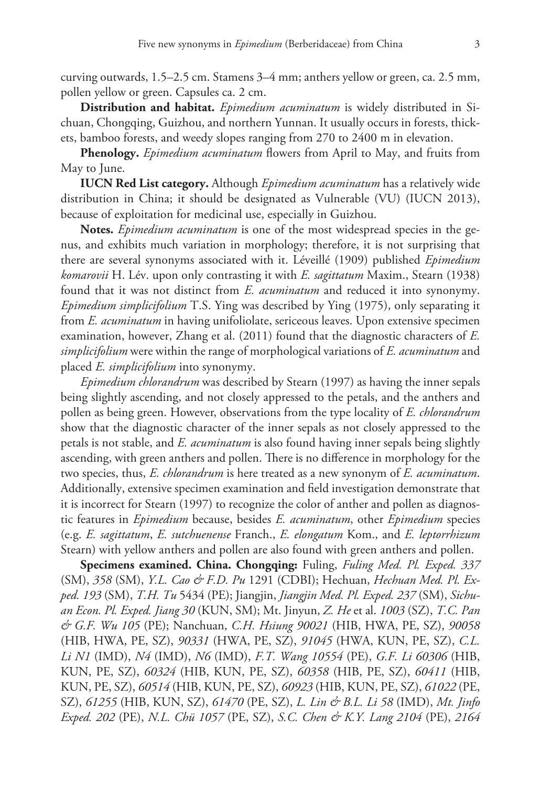curving outwards, 1.5–2.5 cm. Stamens 3–4 mm; anthers yellow or green, ca. 2.5 mm, pollen yellow or green. Capsules ca. 2 cm.

**Distribution and habitat.** *Epimedium acuminatum* is widely distributed in Sichuan, Chongqing, Guizhou, and northern Yunnan. It usually occurs in forests, thickets, bamboo forests, and weedy slopes ranging from 270 to 2400 m in elevation.

**Phenology.** *Epimedium acuminatum* flowers from April to May, and fruits from May to June.

**IUCN Red List category.** Although *Epimedium acuminatum* has a relatively wide distribution in China; it should be designated as Vulnerable (VU) (IUCN 2013), because of exploitation for medicinal use, especially in Guizhou.

**Notes.** *Epimedium acuminatum* is one of the most widespread species in the genus, and exhibits much variation in morphology; therefore, it is not surprising that there are several synonyms associated with it. Léveillé (1909) published *Epimedium komarovii* H. Lév. upon only contrasting it with *E. sagittatum* Maxim., Stearn (1938) found that it was not distinct from *E. acuminatum* and reduced it into synonymy. *Epimedium simplicifolium* T.S. Ying was described by Ying (1975), only separating it from *E. acuminatum* in having unifoliolate, sericeous leaves. Upon extensive specimen examination, however, Zhang et al. (2011) found that the diagnostic characters of *E. simplicifolium* were within the range of morphological variations of *E. acuminatum* and placed *E. simplicifolium* into synonymy.

*Epimedium chlorandrum* was described by Stearn (1997) as having the inner sepals being slightly ascending, and not closely appressed to the petals, and the anthers and pollen as being green. However, observations from the type locality of *E. chlorandrum* show that the diagnostic character of the inner sepals as not closely appressed to the petals is not stable, and *E. acuminatum* is also found having inner sepals being slightly ascending, with green anthers and pollen. There is no difference in morphology for the two species, thus, *E. chlorandrum* is here treated as a new synonym of *E. acuminatum*. Additionally, extensive specimen examination and field investigation demonstrate that it is incorrect for Stearn (1997) to recognize the color of anther and pollen as diagnostic features in *Epimedium* because, besides *E. acuminatum*, other *Epimedium* species (e.g. *E. sagittatum*, *E. sutchuenense* Franch., *E. elongatum* Kom., and *E. leptorrhizum*  Stearn) with yellow anthers and pollen are also found with green anthers and pollen.

**Specimens examined. China. Chongqing:** Fuling, *Fuling Med. Pl. Exped. 337* (SM), *358* (SM), *Y.L. Cao & F.D. Pu* 1291 (CDBI); Hechuan, *Hechuan Med. Pl. Exped. 193* (SM), *T.H. Tu* 5434 (PE); Jiangjin, *Jiangjin Med. Pl. Exped. 237* (SM), *Sichuan Econ. Pl. Exped. Jiang 30* (KUN, SM); Mt. Jinyun, *Z. He* et al. *1003* (SZ), *T.C. Pan & G.F. Wu 105* (PE); Nanchuan, *C.H. Hsiung 90021* (HIB, HWA, PE, SZ), *90058* (HIB, HWA, PE, SZ), *90331* (HWA, PE, SZ), *91045* (HWA, KUN, PE, SZ), *C.L. Li N1* (IMD), *N4* (IMD), *N6* (IMD), *F.T. Wang 10554* (PE), *G.F. Li 60306* (HIB, KUN, PE, SZ), *60324* (HIB, KUN, PE, SZ), *60358* (HIB, PE, SZ), *60411* (HIB, KUN, PE, SZ), *60514* (HIB, KUN, PE, SZ), *60923* (HIB, KUN, PE, SZ), *61022* (PE, SZ), *61255* (HIB, KUN, SZ), *61470* (PE, SZ), *L. Lin & B.L. Li 58* (IMD), *Mt. Jinfo Exped. 202* (PE), *N.L. Chü 1057* (PE, SZ), *S.C. Chen & K.Y. Lang 2104* (PE), *2164*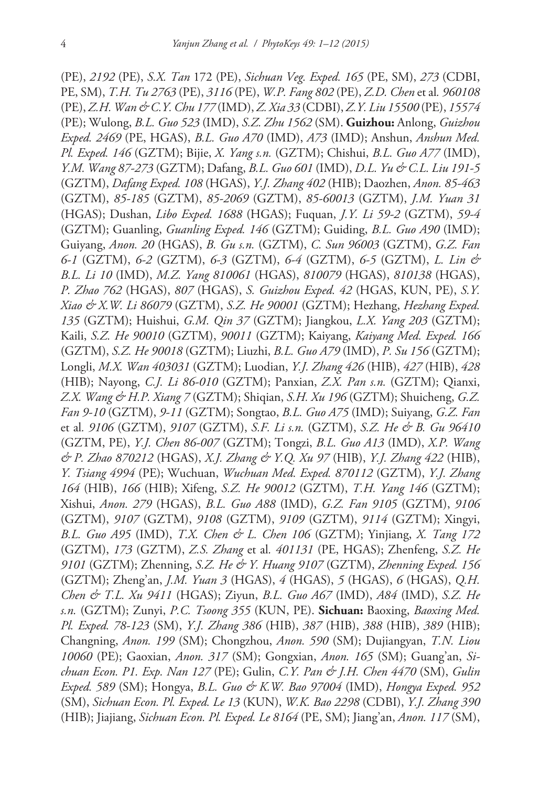(PE), *2192* (PE), *S.X. Tan* 172 (PE), *Sichuan Veg. Exped. 165* (PE, SM), *273* (CDBI, PE, SM), *T.H. Tu 2763* (PE), *3116* (PE), *W.P. Fang 802* (PE), *Z.D. Chen* et al*. 960108* (PE), *Z.H. Wan & C.Y. Chu 177* (IMD), *Z. Xia 33* (CDBI), *Z.Y. Liu 15500* (PE), *15574*  (PE); Wulong, *B.L. Guo 523* (IMD), *S.Z. Zhu 1562* (SM). **Guizhou:** Anlong, *Guizhou Exped. 2469* (PE, HGAS), *B.L. Guo A70* (IMD), *A73* (IMD); Anshun, *Anshun Med. Pl. Exped. 146* (GZTM); Bijie, *X. Yang s.n.* (GZTM); Chishui, *B.L. Guo A77* (IMD), *Y.M. Wang 87-273* (GZTM); Dafang, *B.L. Guo 601* (IMD), *D.L. Yu & C.L. Liu 191-5* (GZTM), *Dafang Exped. 108* (HGAS), *Y.J. Zhang 402* (HIB); Daozhen, *Anon. 85-463* (GZTM), *85-185* (GZTM), *85-2069* (GZTM), *85-60013* (GZTM), *J.M. Yuan 31* (HGAS); Dushan, *Libo Exped. 1688* (HGAS); Fuquan, *J.Y. Li 59-2* (GZTM), *59-4* (GZTM); Guanling, *Guanling Exped. 146* (GZTM); Guiding, *B.L. Guo A90* (IMD); Guiyang, *Anon. 20* (HGAS), *B. Gu s.n.* (GZTM), *C. Sun 96003* (GZTM), *G.Z. Fan 6-1* (GZTM), *6-2* (GZTM), *6-3* (GZTM), *6-4* (GZTM), *6-5* (GZTM), *L. Lin & B.L. Li 10* (IMD), *M.Z. Yang 810061* (HGAS), *810079* (HGAS), *810138* (HGAS), *P. Zhao 762* (HGAS), *807* (HGAS), *S. Guizhou Exped. 42* (HGAS, KUN, PE), *S.Y. Xiao & X.W. Li 86079* (GZTM), *S.Z. He 90001* (GZTM); Hezhang, *Hezhang Exped. 135* (GZTM); Huishui, *G.M. Qin 37* (GZTM); Jiangkou, *L.X. Yang 203* (GZTM); Kaili, *S.Z. He 90010* (GZTM), *90011* (GZTM); Kaiyang, *Kaiyang Med. Exped. 166* (GZTM), *S.Z. He 90018* (GZTM); Liuzhi, *B.L. Guo A79* (IMD), *P. Su 156* (GZTM); Longli, *M.X. Wan 403031* (GZTM); Luodian, *Y.J. Zhang 426* (HIB), *427* (HIB), *428*  (HIB); Nayong, *C.J. Li 86-010* (GZTM); Panxian, *Z.X. Pan s.n.* (GZTM); Qianxi, *Z.X. Wang & H.P. Xiang 7* (GZTM); Shiqian, *S.H. Xu 196* (GZTM); Shuicheng, *G.Z. Fan 9-10* (GZTM), *9-11* (GZTM); Songtao, *B.L. Guo A75* (IMD); Suiyang, *G.Z. Fan*  et al*. 9106* (GZTM), *9107* (GZTM), *S.F. Li s.n.* (GZTM), *S.Z. He & B. Gu 96410*  (GZTM, PE), *Y.J. Chen 86-007* (GZTM); Tongzi, *B.L. Guo A13* (IMD), *X.P. Wang & P. Zhao 870212* (HGAS), *X.J. Zhang & Y.Q. Xu 97* (HIB), *Y.J. Zhang 422* (HIB), *Y. Tsiang 4994* (PE); Wuchuan, *Wuchuan Med. Exped. 870112* (GZTM), *Y.J. Zhang 164* (HIB), *166* (HIB); Xifeng, *S.Z. He 90012* (GZTM), *T.H. Yang 146* (GZTM); Xishui, *Anon. 279* (HGAS), *B.L. Guo A88* (IMD), *G.Z. Fan 9105* (GZTM), *9106* (GZTM), *9107* (GZTM), *9108* (GZTM), *9109* (GZTM), *9114* (GZTM); Xingyi, *B.L. Guo A95* (IMD), *T.X. Chen & L. Chen 106* (GZTM); Yinjiang, *X. Tang 172*  (GZTM), *173* (GZTM), *Z.S. Zhang* et al*. 401131* (PE, HGAS); Zhenfeng, *S.Z. He 9101* (GZTM); Zhenning, *S.Z. He & Y. Huang 9107* (GZTM), *Zhenning Exped. 156* (GZTM); Zheng'an, *J.M. Yuan 3* (HGAS), *4* (HGAS), *5* (HGAS), *6* (HGAS), *Q.H. Chen & T.L. Xu 9411* (HGAS); Ziyun, *B.L. Guo A67* (IMD), *A84* (IMD), *S.Z. He s.n.* (GZTM); Zunyi, *P.C. Tsoong 355* (KUN, PE). **Sichuan:** Baoxing, *Baoxing Med. Pl. Exped. 78-123* (SM), *Y.J. Zhang 386* (HIB), *387* (HIB), *388* (HIB), *389* (HIB); Changning, *Anon. 199* (SM); Chongzhou, *Anon. 590* (SM); Dujiangyan, *T.N. Liou 10060* (PE); Gaoxian, *Anon. 317* (SM); Gongxian, *Anon. 165* (SM); Guang'an, *Sichuan Econ. P1. Exp. Nan 127* (PE); Gulin, *C.Y. Pan & J.H. Chen 4470* (SM), *Gulin Exped. 589* (SM); Hongya, *B.L. Guo & K.W. Bao 97004* (IMD), *Hongya Exped. 952* (SM), *Sichuan Econ. Pl. Exped. Le 13* (KUN), *W.K. Bao 2298* (CDBI), *Y.J. Zhang 390* (HIB); Jiajiang, *Sichuan Econ. Pl. Exped. Le 8164* (PE, SM); Jiang'an, *Anon. 117* (SM),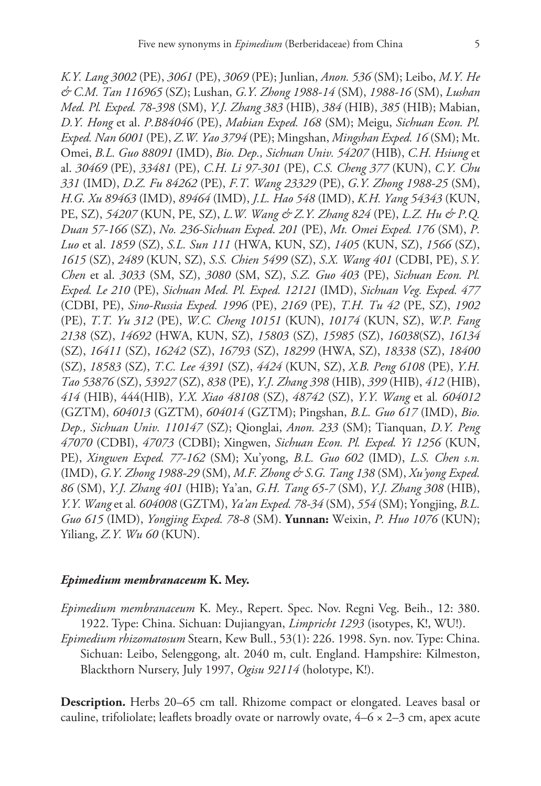*K.Y. Lang 3002* (PE), *3061* (PE), *3069* (PE); Junlian, *Anon. 536* (SM); Leibo, *M.Y. He & C.M. Tan 116965* (SZ); Lushan, *G.Y. Zhong 1988-14* (SM), *1988-16* (SM), *Lushan Med. Pl. Exped. 78-398* (SM), *Y.J. Zhang 383* (HIB), *384* (HIB), *385* (HIB); Mabian, *D.Y. Hong* et al. *P.B84046* (PE), *Mabian Exped. 168* (SM); Meigu, *Sichuan Econ. Pl. Exped. Nan 6001* (PE), *Z.W. Yao 3794* (PE); Mingshan, *Mingshan Exped. 16* (SM); Mt. Omei, *B.L. Guo 88091* (IMD), *Bio. Dep., Sichuan Univ. 54207* (HIB), *C.H. Hsiung* et al. *30469* (PE), *33481* (PE), *C.H. Li 97-301* (PE), *C.S. Cheng 377* (KUN), *C.Y. Chu 331* (IMD), *D.Z. Fu 84262* (PE), *F.T. Wang 23329* (PE), *G.Y. Zhong 1988-25* (SM), *H.G. Xu 89463* (IMD), *89464* (IMD), *J.L. Hao 548* (IMD), *K.H. Yang 54343* (KUN, PE, SZ), *54207* (KUN, PE, SZ), *L.W. Wang & Z.Y. Zhang 824* (PE), *L.Z. Hu & P.Q. Duan 57-166* (SZ), *No. 236-Sichuan Exped*. *201* (PE), *Mt. Omei Exped. 176* (SM), *P. Luo* et al. *1859* (SZ), *S.L. Sun 111* (HWA, KUN, SZ), *1405* (KUN, SZ), *1566* (SZ), *1615* (SZ), *2489* (KUN, SZ), *S.S. Chien 5499* (SZ), *S.X. Wang 401* (CDBI, PE), *S.Y. Chen* et al. *3033* (SM, SZ), *3080* (SM, SZ), *S.Z. Guo 403* (PE), *Sichuan Econ. Pl. Exped. Le 210* (PE), *Sichuan Med. Pl. Exped. 12121* (IMD), *Sichuan Veg. Exped. 477*  (CDBI, PE), *Sino-Russia Exped. 1996* (PE), *2169* (PE), *T.H. Tu 42* (PE, SZ), *1902* (PE), *T.T. Yu 312* (PE), *W.C. Cheng 10151* (KUN), *10174* (KUN, SZ), *W.P. Fang 2138* (SZ), *14692* (HWA, KUN, SZ), *15803* (SZ), *15985* (SZ), *16038*(SZ), *16134* (SZ), *16411* (SZ), *16242* (SZ), *16793* (SZ), *18299* (HWA, SZ), *18338* (SZ), *18400* (SZ), *18583* (SZ), *T.C. Lee 4391* (SZ), *4424* (KUN, SZ), *X.B. Peng 6108* (PE), *Y.H. Tao 53876* (SZ), *53927* (SZ), *838* (PE), *Y.J. Zhang 398* (HIB), *399* (HIB), *412* (HIB), *414* (HIB), 444(HIB), *Y.X. Xiao 48108* (SZ), *48742* (SZ), *Y.Y. Wang* et al*. 604012*  (GZTM), *604013* (GZTM), *604014* (GZTM); Pingshan, *B.L. Guo 617* (IMD), *Bio. Dep., Sichuan Univ. 110147* (SZ); Qionglai, *Anon. 233* (SM); Tianquan, *D.Y. Peng 47070* (CDBI), *47073* (CDBI); Xingwen, *Sichuan Econ. Pl. Exped. Yi 1256* (KUN, PE), *Xingwen Exped. 77-162* (SM); Xu'yong, *B.L. Guo 602* (IMD), *L.S. Chen s.n.* (IMD), *G.Y. Zhong 1988-29* (SM), *M.F. Zhong & S.G. Tang 138* (SM), *Xu'yong Exped. 86* (SM), *Y.J. Zhang 401* (HIB); Ya'an, *G.H. Tang 65-7* (SM), *Y.J. Zhang 308* (HIB), *Y.Y. Wang* et al*. 604008* (GZTM), *Ya'an Exped. 78-34* (SM), *554* (SM); Yongjing, *B.L. Guo 615* (IMD), *Yongjing Exped. 78-8* (SM). **Yunnan:** Weixin, *P. Huo 1076* (KUN); Yiliang, *Z.Y. Wu 60* (KUN).

#### *Epimedium membranaceum* **K. Mey.**

- *Epimedium membranaceum* K. Mey., Repert. Spec. Nov. Regni Veg. Beih., 12: 380. 1922. Type: China. Sichuan: Dujiangyan, *Limpricht 1293* (isotypes, K!, WU!).
- *Epimedium rhizomatosum* Stearn, Kew Bull., 53(1): 226. 1998. Syn. nov. Type: China. Sichuan: Leibo, Selenggong, alt. 2040 m, cult. England. Hampshire: Kilmeston, Blackthorn Nursery, July 1997, *Ogisu 92114* (holotype, K!).

**Description.** Herbs 20–65 cm tall. Rhizome compact or elongated. Leaves basal or cauline, trifoliolate; leaflets broadly ovate or narrowly ovate,  $4-6 \times 2-3$  cm, apex acute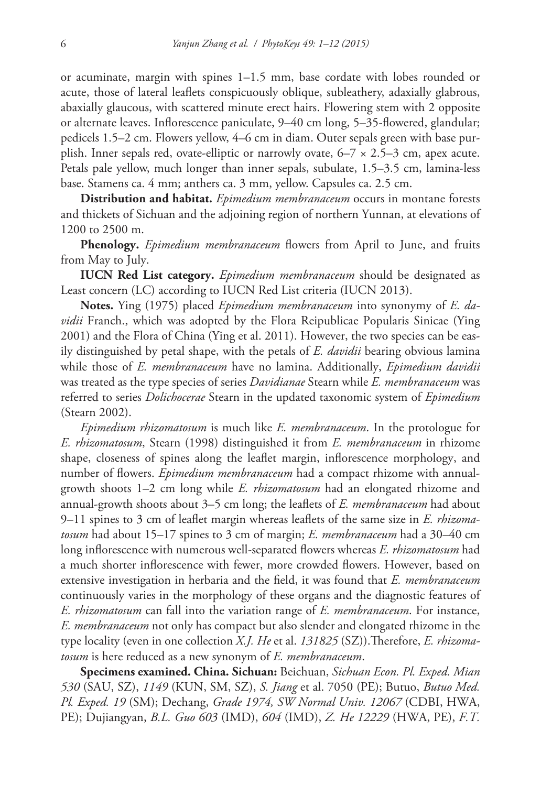or acuminate, margin with spines 1–1.5 mm, base cordate with lobes rounded or acute, those of lateral leaflets conspicuously oblique, subleathery, adaxially glabrous, abaxially glaucous, with scattered minute erect hairs. Flowering stem with 2 opposite or alternate leaves. Inflorescence paniculate, 9–40 cm long, 5–35-flowered, glandular; pedicels 1.5–2 cm. Flowers yellow, 4–6 cm in diam. Outer sepals green with base purplish. Inner sepals red, ovate-elliptic or narrowly ovate,  $6-7 \times 2.5-3$  cm, apex acute. Petals pale yellow, much longer than inner sepals, subulate, 1.5–3.5 cm, lamina-less base. Stamens ca. 4 mm; anthers ca. 3 mm, yellow. Capsules ca. 2.5 cm.

**Distribution and habitat.** *Epimedium membranaceum* occurs in montane forests and thickets of Sichuan and the adjoining region of northern Yunnan, at elevations of 1200 to 2500 m.

**Phenology.** *Epimedium membranaceum* flowers from April to June, and fruits from May to July.

**IUCN Red List category.** *Epimedium membranaceum* should be designated as Least concern (LC) according to IUCN Red List criteria (IUCN 2013).

**Notes.** Ying (1975) placed *Epimedium membranaceum* into synonymy of *E. davidii* Franch., which was adopted by the Flora Reipublicae Popularis Sinicae (Ying 2001) and the Flora of China (Ying et al. 2011). However, the two species can be easily distinguished by petal shape, with the petals of *E. davidii* bearing obvious lamina while those of *E. membranaceum* have no lamina. Additionally, *Epimedium davidii* was treated as the type species of series *Davidianae* Stearn while *E. membranaceum* was referred to series *Dolichocerae* Stearn in the updated taxonomic system of *Epimedium* (Stearn 2002).

*Epimedium rhizomatosum* is much like *E. membranaceum*. In the protologue for *E. rhizomatosum*, Stearn (1998) distinguished it from *E. membranaceum* in rhizome shape, closeness of spines along the leaflet margin, inflorescence morphology, and number of flowers. *Epimedium membranaceum* had a compact rhizome with annualgrowth shoots 1–2 cm long while *E. rhizomatosum* had an elongated rhizome and annual-growth shoots about 3–5 cm long; the leaflets of *E. membranaceum* had about 9–11 spines to 3 cm of leaflet margin whereas leaflets of the same size in *E. rhizomatosum* had about 15–17 spines to 3 cm of margin; *E. membranaceum* had a 30–40 cm long inflorescence with numerous well-separated flowers whereas *E. rhizomatosum* had a much shorter inflorescence with fewer, more crowded flowers. However, based on extensive investigation in herbaria and the field, it was found that *E. membranaceum* continuously varies in the morphology of these organs and the diagnostic features of *E. rhizomatosum* can fall into the variation range of *E. membranaceum*. For instance, *E. membranaceum* not only has compact but also slender and elongated rhizome in the type locality (even in one collection *X.J. He* et al. *131825* (SZ)).Therefore, *E. rhizomatosum* is here reduced as a new synonym of *E. membranaceum*.

**Specimens examined. China. Sichuan:** Beichuan, *Sichuan Econ. Pl. Exped. Mian 530* (SAU, SZ), *1149* (KUN, SM, SZ), *S. Jiang* et al. 7050 (PE); Butuo, *Butuo Med. Pl. Exped. 19* (SM); Dechang, *Grade 1974, SW Normal Univ. 12067* (CDBI, HWA, PE); Dujiangyan, *B.L. Guo 603* (IMD), *604* (IMD), *Z. He 12229* (HWA, PE), *F.T.*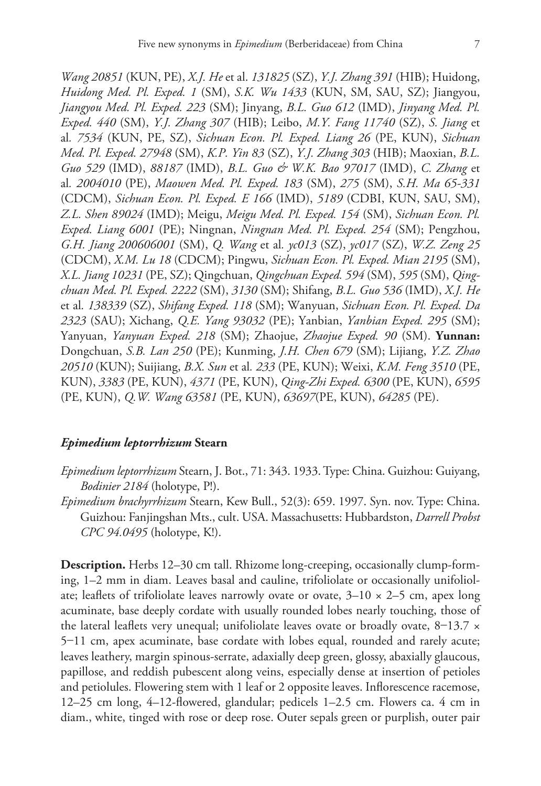*Wang 20851* (KUN, PE), *X.J. He* et al. *131825* (SZ), *Y.J. Zhang 391* (HIB); Huidong, *Huidong Med. Pl. Exped. 1* (SM), *S.K. Wu 1433* (KUN, SM, SAU, SZ); Jiangyou, *Jiangyou Med. Pl. Exped. 223* (SM); Jinyang, *B.L. Guo 612* (IMD), *Jinyang Med. Pl. Exped. 440* (SM), *Y.J. Zhang 307* (HIB); Leibo, *M.Y. Fang 11740* (SZ), *S. Jiang* et al*. 7534* (KUN, PE, SZ), *Sichuan Econ. Pl. Exped. Liang 26* (PE, KUN), *Sichuan Med. Pl. Exped. 27948* (SM), *K.P. Yin 83* (SZ), *Y.J. Zhang 303* (HIB); Maoxian, *B.L. Guo 529* (IMD), *88187* (IMD), *B.L. Guo & W.K. Bao 97017* (IMD), *C. Zhang* et al*. 2004010* (PE), *Maowen Med. Pl. Exped. 183* (SM), *275* (SM), *S.H. Ma 65-331* (CDCM), *Sichuan Econ. Pl. Exped. E 166* (IMD), *5189* (CDBI, KUN, SAU, SM), *Z.L. Shen 89024* (IMD); Meigu, *Meigu Med. Pl. Exped. 154* (SM), *Sichuan Econ. Pl. Exped. Liang 6001* (PE); Ningnan, *Ningnan Med. Pl. Exped. 254* (SM); Pengzhou, *G.H. Jiang 200606001* (SM), *Q. Wang* et al*. yc013* (SZ), *yc017* (SZ), *W.Z. Zeng 25* (CDCM), *X.M. Lu 18* (CDCM); Pingwu, *Sichuan Econ. Pl. Exped. Mian 2195* (SM), *X.L. Jiang 10231* (PE, SZ); Qingchuan, *Qingchuan Exped. 594* (SM), *595* (SM), *Qingchuan Med. Pl. Exped. 2222* (SM), *3130* (SM); Shifang, *B.L. Guo 536* (IMD), *X.J. He*  et al*. 138339* (SZ), *Shifang Exped. 118* (SM); Wanyuan, *Sichuan Econ. Pl. Exped. Da 2323* (SAU); Xichang, *Q.E. Yang 93032* (PE); Yanbian, *Yanbian Exped. 295* (SM); Yanyuan, *Yanyuan Exped. 218* (SM); Zhaojue, *Zhaojue Exped. 90* (SM). **Yunnan:**  Dongchuan, *S.B. Lan 250* (PE); Kunming, *J.H. Chen 679* (SM); Lijiang, *Y.Z. Zhao 20510* (KUN); Suijiang, *B.X. Sun* et al*. 233* (PE, KUN); Weixi, *K.M. Feng 3510* (PE, KUN), *3383* (PE, KUN), *4371* (PE, KUN), *Qing-Zhi Exped. 6300* (PE, KUN), *6595* (PE, KUN), *Q.W. Wang 63581* (PE, KUN), *63697*(PE, KUN), *64285* (PE).

# *Epimedium leptorrhizum* **Stearn**

- *Epimedium leptorrhizum* Stearn, J. Bot., 71: 343. 1933. Type: China. Guizhou: Guiyang, *Bodinier 2184* (holotype, P!).
- *Epimedium brachyrrhizum* Stearn, Kew Bull., 52(3): 659. 1997. Syn. nov. Type: China. Guizhou: Fanjingshan Mts., cult. USA. Massachusetts: Hubbardston, *Darrell Probst CPC 94.0495* (holotype, K!).

**Description.** Herbs 12–30 cm tall. Rhizome long-creeping, occasionally clump-forming, 1–2 mm in diam. Leaves basal and cauline, trifoliolate or occasionally unifoliolate; leaflets of trifoliolate leaves narrowly ovate or ovate,  $3-10 \times 2-5$  cm, apex long acuminate, base deeply cordate with usually rounded lobes nearly touching, those of the lateral leaflets very unequal; unifoliolate leaves ovate or broadly ovate,  $8-13.7 \times$ 5–11 cm, apex acuminate, base cordate with lobes equal, rounded and rarely acute; leaves leathery, margin spinous-serrate, adaxially deep green, glossy, abaxially glaucous, papillose, and reddish pubescent along veins, especially dense at insertion of petioles and petiolules. Flowering stem with 1 leaf or 2 opposite leaves. Inflorescence racemose, 12–25 cm long, 4–12-flowered, glandular; pedicels 1–2.5 cm. Flowers ca. 4 cm in diam., white, tinged with rose or deep rose. Outer sepals green or purplish, outer pair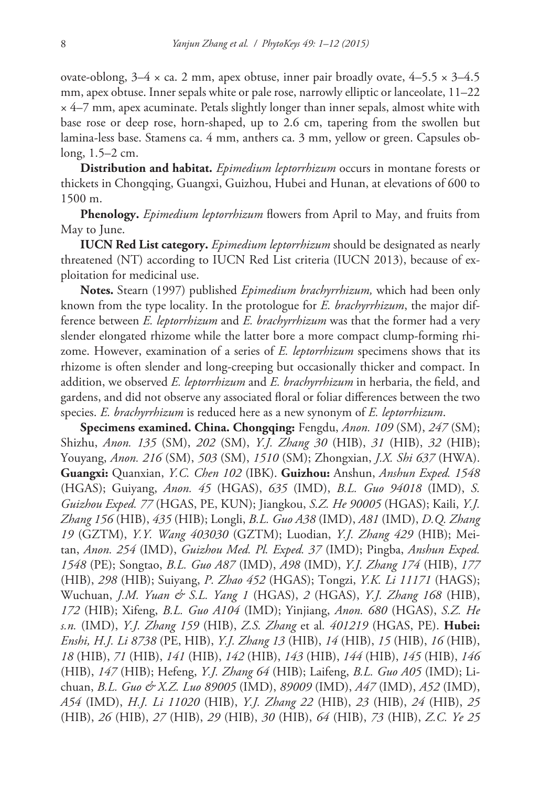ovate-oblong,  $3-4 \times$  ca. 2 mm, apex obtuse, inner pair broadly ovate,  $4-5.5 \times 3-4.5$ mm, apex obtuse. Inner sepals white or pale rose, narrowly elliptic or lanceolate, 11–22  $\times$  4–7 mm, apex acuminate. Petals slightly longer than inner sepals, almost white with base rose or deep rose, horn-shaped, up to 2.6 cm, tapering from the swollen but lamina-less base. Stamens ca. 4 mm, anthers ca. 3 mm, yellow or green. Capsules oblong, 1.5–2 cm.

**Distribution and habitat.** *Epimedium leptorrhizum* occurs in montane forests or thickets in Chongqing, Guangxi, Guizhou, Hubei and Hunan, at elevations of 600 to 1500 m.

**Phenology.** *Epimedium leptorrhizum* flowers from April to May, and fruits from May to June.

**IUCN Red List category.** *Epimedium leptorrhizum* should be designated as nearly threatened (NT) according to IUCN Red List criteria (IUCN 2013), because of exploitation for medicinal use.

**Notes.** Stearn (1997) published *Epimedium brachyrrhizum,* which had been only known from the type locality. In the protologue for *E. brachyrrhizum*, the major difference between *E. leptorrhizum* and *E. brachyrrhizum* was that the former had a very slender elongated rhizome while the latter bore a more compact clump-forming rhizome. However, examination of a series of *E. leptorrhizum* specimens shows that its rhizome is often slender and long-creeping but occasionally thicker and compact. In addition, we observed *E. leptorrhizum* and *E. brachyrrhizum* in herbaria, the field, and gardens, and did not observe any associated floral or foliar differences between the two species. *E. brachyrrhizum* is reduced here as a new synonym of *E. leptorrhizum*.

**Specimens examined. China. Chongqing:** Fengdu, *Anon. 109* (SM), *247* (SM); Shizhu, *Anon. 135* (SM), *202* (SM), *Y.J. Zhang 30* (HIB), *31* (HIB), *32* (HIB); Youyang, *Anon. 216* (SM), *503* (SM), *1510* (SM); Zhongxian, *J.X. Shi 637* (HWA). **Guangxi:** Quanxian, *Y.C. Chen 102* (IBK). **Guizhou:** Anshun, *Anshun Exped. 1548* (HGAS); Guiyang, *Anon. 45* (HGAS), *635* (IMD), *B.L. Guo 94018* (IMD), *S. Guizhou Exped. 77* (HGAS, PE, KUN); Jiangkou, *S.Z. He 90005* (HGAS); Kaili, *Y.J. Zhang 156* (HIB), *435* (HIB); Longli, *B.L. Guo A38* (IMD), *A81* (IMD), *D.Q. Zhang 19* (GZTM), *Y.Y. Wang 403030* (GZTM); Luodian, *Y.J. Zhang 429* (HIB); Meitan, *Anon. 254* (IMD), *Guizhou Med. Pl. Exped. 37* (IMD); Pingba, *Anshun Exped. 1548* (PE); Songtao, *B.L. Guo A87* (IMD), *A98* (IMD), *Y.J. Zhang 174* (HIB), *177* (HIB), *298* (HIB); Suiyang, *P. Zhao 452* (HGAS); Tongzi, *Y.K. Li 11171* (HAGS); Wuchuan, *J.M. Yuan & S.L. Yang 1* (HGAS), *2* (HGAS), *Y.J. Zhang 168* (HIB), *172* (HIB); Xifeng, *B.L. Guo A104* (IMD); Yinjiang, *Anon. 680* (HGAS), *S.Z. He s.n.* (IMD), *Y.J. Zhang 159* (HIB), *Z.S. Zhang* et al*. 401219* (HGAS, PE). **Hubei:** *Enshi, H.J. Li 8738* (PE, HIB), *Y.J. Zhang 13* (HIB), *14* (HIB), *15* (HIB), *16* (HIB), *18* (HIB), *71* (HIB), *141* (HIB), *142* (HIB), *143* (HIB), *144* (HIB), *145* (HIB), *146*  (HIB), *147* (HIB); Hefeng, *Y.J. Zhang 64* (HIB); Laifeng, *B.L. Guo A05* (IMD); Lichuan, *B.L. Guo & X.Z. Luo 89005* (IMD), *89009* (IMD), *A47* (IMD), *A52* (IMD), *A54* (IMD), *H.J. Li 11020* (HIB), *Y.J. Zhang 22* (HIB), *23* (HIB), *24* (HIB), *25* (HIB), *26* (HIB), *27* (HIB), *29* (HIB), *30* (HIB), *64* (HIB), *73* (HIB), *Z.C. Ye 25*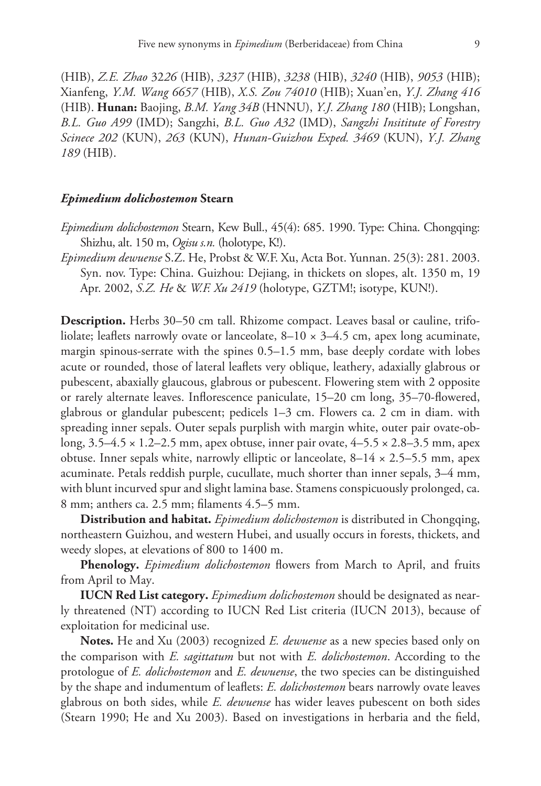(HIB), *Z.E. Zhao* 32*26* (HIB), *3237* (HIB), *3238* (HIB), *3240* (HIB), *9053* (HIB); Xianfeng, *Y.M. Wang 6657* (HIB), *X.S. Zou 74010* (HIB); Xuan'en, *Y.J. Zhang 416* (HIB). **Hunan:** Baojing, *B.M. Yang 34B* (HNNU), *Y.J. Zhang 180* (HIB); Longshan, *B.L. Guo A99* (IMD); Sangzhi, *B.L. Guo A32* (IMD), *Sangzhi Insititute of Forestry Scinece 202* (KUN), *263* (KUN), *Hunan-Guizhou Exped. 3469* (KUN), *Y.J. Zhang 189* (HIB).

# *Epimedium dolichostemon* **Stearn**

*Epimedium dolichostemon* Stearn, Kew Bull., 45(4): 685. 1990. Type: China. Chongqing: Shizhu, alt. 150 m, *Ogisu s.n.* (holotype, K!).

*Epimedium dewuense* S.Z. He, Probst & W.F. Xu, Acta Bot. Yunnan. 25(3): 281. 2003. Syn. nov. Type: China. Guizhou: Dejiang, in thickets on slopes, alt. 1350 m, 19 Apr. 2002, *S.Z. He* & *W.F. Xu 2419* (holotype, GZTM!; isotype, KUN!).

**Description.** Herbs 30–50 cm tall. Rhizome compact. Leaves basal or cauline, trifoliolate; leaflets narrowly ovate or lanceolate,  $8-10 \times 3-4.5$  cm, apex long acuminate, margin spinous-serrate with the spines 0.5–1.5 mm, base deeply cordate with lobes acute or rounded, those of lateral leaflets very oblique, leathery, adaxially glabrous or pubescent, abaxially glaucous, glabrous or pubescent. Flowering stem with 2 opposite or rarely alternate leaves. Inflorescence paniculate, 15–20 cm long, 35–70-flowered, glabrous or glandular pubescent; pedicels 1–3 cm. Flowers ca. 2 cm in diam. with spreading inner sepals. Outer sepals purplish with margin white, outer pair ovate-oblong, 3.5–4.5 × 1.2–2.5 mm, apex obtuse, inner pair ovate, 4–5.5 × 2.8–3.5 mm, apex obtuse. Inner sepals white, narrowly elliptic or lanceolate,  $8-14 \times 2.5-5.5$  mm, apex acuminate. Petals reddish purple, cucullate, much shorter than inner sepals, 3–4 mm, with blunt incurved spur and slight lamina base. Stamens conspicuously prolonged, ca. 8 mm; anthers ca. 2.5 mm; filaments 4.5–5 mm.

**Distribution and habitat.** *Epimedium dolichostemon* is distributed in Chongqing, northeastern Guizhou, and western Hubei, and usually occurs in forests, thickets, and weedy slopes, at elevations of 800 to 1400 m.

**Phenology.** *Epimedium dolichostemon* flowers from March to April, and fruits from April to May.

**IUCN Red List category.** *Epimedium dolichostemon* should be designated as nearly threatened (NT) according to IUCN Red List criteria (IUCN 2013), because of exploitation for medicinal use.

**Notes.** He and Xu (2003) recognized *E. dewuense* as a new species based only on the comparison with *E. sagittatum* but not with *E. dolichostemon*. According to the protologue of *E. dolichostemon* and *E. dewuense*, the two species can be distinguished by the shape and indumentum of leaflets: *E. dolichostemon* bears narrowly ovate leaves glabrous on both sides, while *E. dewuense* has wider leaves pubescent on both sides (Stearn 1990; He and Xu 2003). Based on investigations in herbaria and the field,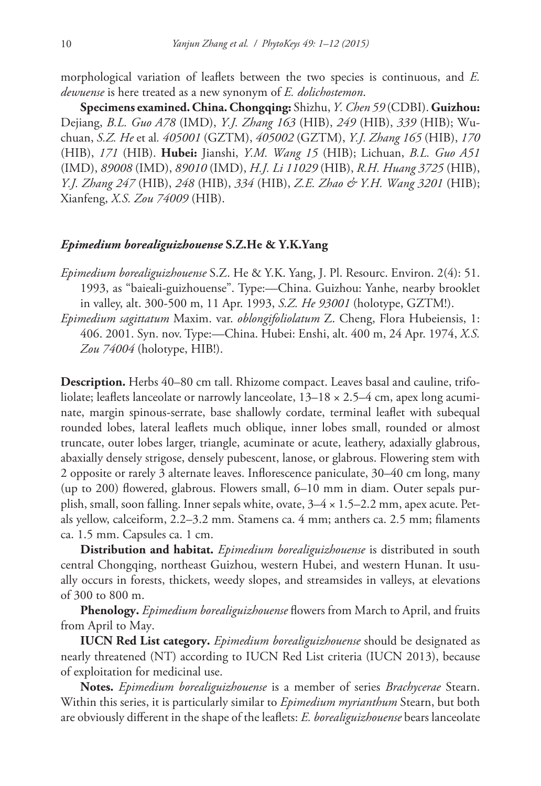morphological variation of leaflets between the two species is continuous, and *E. dewuense* is here treated as a new synonym of *E. dolichostemon*.

**Specimens examined. China. Chongqing:** Shizhu, *Y. Chen 59* (CDBI). **Guizhou:**  Dejiang, *B.L. Guo A78* (IMD), *Y.J. Zhang 163* (HIB), *249* (HIB), *339* (HIB); Wuchuan, *S.Z. He* et al*. 405001* (GZTM), *405002* (GZTM), *Y.J. Zhang 165* (HIB), *170* (HIB), *171* (HIB). **Hubei:** Jianshi, *Y.M. Wang 15* (HIB); Lichuan, *B.L. Guo A51* (IMD), *89008* (IMD), *89010* (IMD), *H.J. Li 11029* (HIB), *R.H. Huang 3725* (HIB), *Y.J. Zhang 247* (HIB), *248* (HIB), *334* (HIB), *Z.E. Zhao & Y.H. Wang 3201* (HIB); Xianfeng, *X.S. Zou 74009* (HIB).

# *Epimedium borealiguizhouense* **S.Z.He & Y.K.Yang**

*Epimedium borealiguizhouense* S.Z. He & Y.K. Yang, J. Pl. Resourc. Environ. 2(4): 51. 1993, as "baieali-guizhouense". Type:—China. Guizhou: Yanhe, nearby brooklet in valley, alt. 300-500 m, 11 Apr. 1993, *S.Z. He 93001* (holotype, GZTM!).

*Epimedium sagittatum* Maxim. var. *oblongifoliolatum* Z. Cheng, Flora Hubeiensis, 1: 406. 2001. Syn. nov. Type:—China. Hubei: Enshi, alt. 400 m, 24 Apr. 1974, *X.S. Zou 74004* (holotype, HIB!).

**Description.** Herbs 40–80 cm tall. Rhizome compact. Leaves basal and cauline, trifoliolate; leaflets lanceolate or narrowly lanceolate, 13–18 × 2.5–4 cm, apex long acuminate, margin spinous-serrate, base shallowly cordate, terminal leaflet with subequal rounded lobes, lateral leaflets much oblique, inner lobes small, rounded or almost truncate, outer lobes larger, triangle, acuminate or acute, leathery, adaxially glabrous, abaxially densely strigose, densely pubescent, lanose, or glabrous. Flowering stem with 2 opposite or rarely 3 alternate leaves. Inflorescence paniculate, 30–40 cm long, many (up to 200) flowered, glabrous. Flowers small, 6–10 mm in diam. Outer sepals purplish, small, soon falling. Inner sepals white, ovate,  $3-4 \times 1.5-2.2$  mm, apex acute. Petals yellow, calceiform, 2.2–3.2 mm. Stamens ca. 4 mm; anthers ca. 2.5 mm; filaments ca. 1.5 mm. Capsules ca. 1 cm.

**Distribution and habitat.** *Epimedium borealiguizhouense* is distributed in south central Chongqing, northeast Guizhou, western Hubei, and western Hunan. It usually occurs in forests, thickets, weedy slopes, and streamsides in valleys, at elevations of 300 to 800 m.

**Phenology.** *Epimedium borealiguizhouense* flowers from March to April, and fruits from April to May.

**IUCN Red List category.** *Epimedium borealiguizhouense* should be designated as nearly threatened (NT) according to IUCN Red List criteria (IUCN 2013), because of exploitation for medicinal use.

**Notes.** *Epimedium borealiguizhouense* is a member of series *Brachycerae* Stearn. Within this series, it is particularly similar to *Epimedium myrianthum* Stearn, but both are obviously different in the shape of the leaflets: *E. borealiguizhouense* bears lanceolate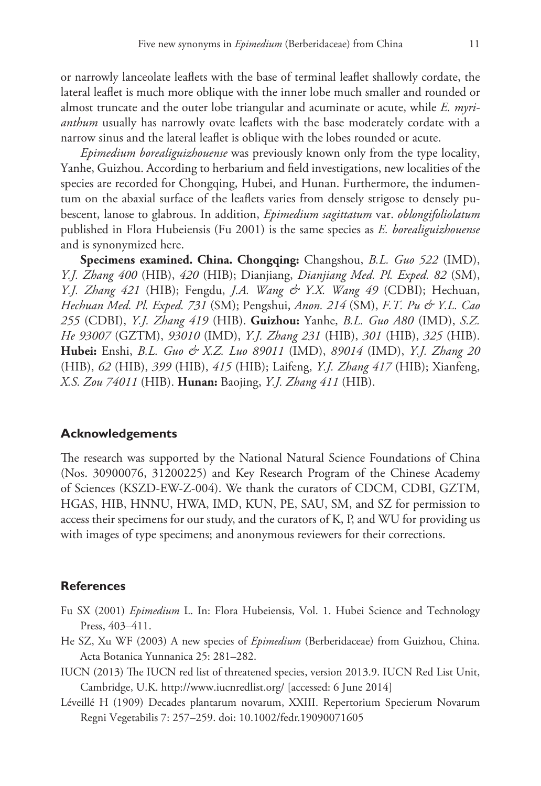or narrowly lanceolate leaflets with the base of terminal leaflet shallowly cordate, the lateral leaflet is much more oblique with the inner lobe much smaller and rounded or almost truncate and the outer lobe triangular and acuminate or acute, while *E. myrianthum* usually has narrowly ovate leaflets with the base moderately cordate with a narrow sinus and the lateral leaflet is oblique with the lobes rounded or acute.

*Epimedium borealiguizhouense* was previously known only from the type locality, Yanhe, Guizhou. According to herbarium and field investigations, new localities of the species are recorded for Chongqing, Hubei, and Hunan. Furthermore, the indumentum on the abaxial surface of the leaflets varies from densely strigose to densely pubescent, lanose to glabrous. In addition, *Epimedium sagittatum* var. *oblongifoliolatum* published in Flora Hubeiensis (Fu 2001) is the same species as *E. borealiguizhouense* and is synonymized here.

**Specimens examined. China. Chongqing:** Changshou, *B.L. Guo 522* (IMD), *Y.J. Zhang 400* (HIB), *420* (HIB); Dianjiang, *Dianjiang Med. Pl. Exped. 82* (SM), *Y.J. Zhang 421* (HIB); Fengdu, *J.A. Wang & Y.X. Wang 49* (CDBI); Hechuan, *Hechuan Med. Pl. Exped. 731* (SM); Pengshui, *Anon. 214* (SM), *F.T. Pu & Y.L. Cao 255* (CDBI), *Y.J. Zhang 419* (HIB). **Guizhou:** Yanhe, *B.L. Guo A80* (IMD), *S.Z. He 93007* (GZTM), *93010* (IMD), *Y.J. Zhang 231* (HIB), *301* (HIB), *325* (HIB). **Hubei:** Enshi, *B.L. Guo & X.Z. Luo 89011* (IMD), *89014* (IMD), *Y.J. Zhang 20* (HIB), *62* (HIB), *399* (HIB), *415* (HIB); Laifeng, *Y.J. Zhang 417* (HIB); Xianfeng, *X.S. Zou 74011* (HIB). **Hunan:** Baojing, *Y.J. Zhang 411* (HIB).

# **Acknowledgements**

The research was supported by the National Natural Science Foundations of China (Nos. 30900076, 31200225) and Key Research Program of the Chinese Academy of Sciences (KSZD-EW-Z-004). We thank the curators of CDCM, CDBI, GZTM, HGAS, HIB, HNNU, HWA, IMD, KUN, PE, SAU, SM, and SZ for permission to access their specimens for our study, and the curators of K, P, and WU for providing us with images of type specimens; and anonymous reviewers for their corrections.

# **References**

- Fu SX (2001) *Epimedium* L. In: Flora Hubeiensis, Vol. 1. Hubei Science and Technology Press, 403–411.
- He SZ, Xu WF (2003) A new species of *Epimedium* (Berberidaceae) from Guizhou, China. Acta Botanica Yunnanica 25: 281–282.
- IUCN (2013) The IUCN red list of threatened species, version 2013.9. IUCN Red List Unit, Cambridge, U.K.<http://www.iucnredlist.org/> [accessed: 6 June 2014]
- Léveillé H (1909) Decades plantarum novarum, XXIII. Repertorium Specierum Novarum Regni Vegetabilis 7: 257–259. [doi: 10.1002/fedr.19090071605](http://dx.doi.org/10.1002/fedr.19090071605)